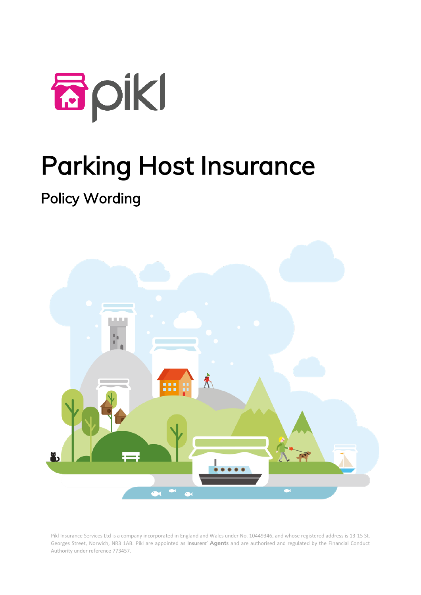

# Parking Host Insurance

# Policy Wording



Pikl Insurance Services Ltd is a company incorporated in England and Wales under No. 10449346, and whose registered address is 13-15 St. Georges Street, Norwich, NR3 1AB. Pikl are appointed as **Insurers' Agents** and are authorised and regulated by the Financial Conduct Authority under reference 773457.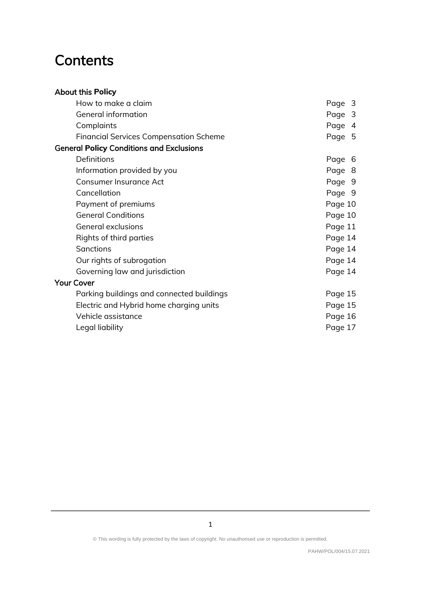# **Contents**

#### About this **Policy**

| How to make a claim                             | Page 3  |
|-------------------------------------------------|---------|
| General information                             | Page 3  |
| Complaints                                      | Page 4  |
| <b>Financial Services Compensation Scheme</b>   | Page 5  |
| <b>General Policy Conditions and Exclusions</b> |         |
| Definitions                                     | Page 6  |
| Information provided by you                     | Page 8  |
| Consumer Insurance Act                          | Page 9  |
| Cancellation                                    | Page 9  |
| Payment of premiums                             | Page 10 |
| <b>General Conditions</b>                       | Page 10 |
| <b>General exclusions</b>                       | Page 11 |
| Rights of third parties                         | Page 14 |
| <b>Sanctions</b>                                | Page 14 |
| Our rights of subrogation                       | Page 14 |
| Governing law and jurisdiction                  | Page 14 |
| <b>Your Cover</b>                               |         |
| Parking buildings and connected buildings       | Page 15 |
| Electric and Hybrid home charging units         | Page 15 |
| Vehicle assistance                              | Page 16 |
| Legal liability                                 | Page 17 |
|                                                 |         |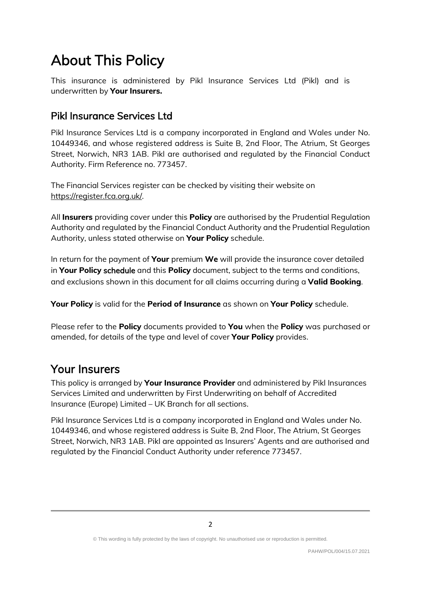# About This Policy

This insurance is administered by Pikl Insurance Services Ltd (Pikl) and is underwritten by **Your Insurers.**

### Pikl Insurance Services Ltd

Pikl Insurance Services Ltd is a company incorporated in England and Wales under No. 10449346, and whose registered address is Suite B, 2nd Floor, The Atrium, St Georges Street, Norwich, NR3 1AB. Pikl are authorised and regulated by the Financial Conduct Authority. Firm Reference no. 773457.

The Financial Services register can be checked by visiting their website on [https://register.fca.org.uk/.](https://register.fca.org.uk/)

All **Insurers** providing cover under this **Policy** are authorised by the Prudential Regulation Authority and regulated by the Financial Conduct Authority and the Prudential Regulation Authority, unless stated otherwise on **Your Policy** schedule.

In return for the payment of **Your** premium **We** will provide the insurance cover detailed in **Your Policy** schedule and this **Policy** document, subject to the terms and conditions, and exclusions shown in this document for all claims occurring during a **Valid Booking**.

**Your Policy** is valid for the **Period of Insurance** as shown on **Your Policy** schedule.

Please refer to the **Policy** documents provided to **You** when the **Policy** was purchased or amended, for details of the type and level of cover **Your Policy** provides.

# Your Insurers

This policy is arranged by **Your Insurance Provider** and administered by Pikl Insurances Services Limited and underwritten by First Underwriting on behalf of Accredited Insurance (Europe) Limited – UK Branch for all sections.

Pikl Insurance Services Ltd is a company incorporated in England and Wales under No. 10449346, and whose registered address is Suite B, 2nd Floor, The Atrium, St Georges Street, Norwich, NR3 1AB. Pikl are appointed as Insurers' Agents and are authorised and regulated by the Financial Conduct Authority under reference 773457.

<sup>©</sup> This wording is fully protected by the laws of copyright. No unauthorised use or reproduction is permitted.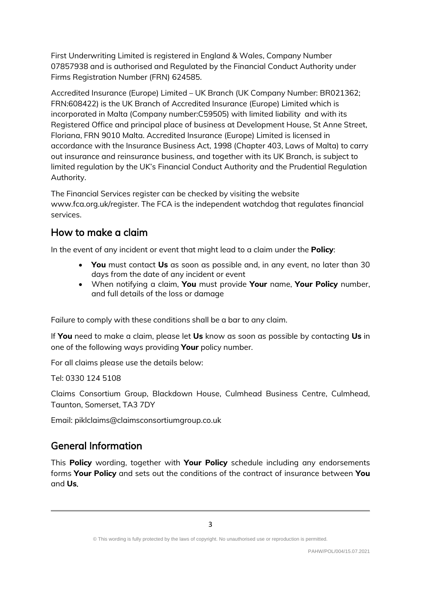First Underwriting Limited is registered in England & Wales, Company Number 07857938 and is authorised and Regulated by the Financial Conduct Authority under Firms Registration Number (FRN) 624585.

Accredited Insurance (Europe) Limited – UK Branch (UK Company Number: BR021362; FRN:608422) is the UK Branch of Accredited Insurance (Europe) Limited which is incorporated in Malta (Company number:C59505) with limited liability and with its Registered Office and principal place of business at Development House, St Anne Street, Floriana, FRN 9010 Malta. Accredited Insurance (Europe) Limited is licensed in accordance with the Insurance Business Act, 1998 (Chapter 403, Laws of Malta) to carry out insurance and reinsurance business, and together with its UK Branch, is subject to limited regulation by the UK's Financial Conduct Authority and the Prudential Regulation Authority.

The Financial Services register can be checked by visiting the website www.fca.org.uk/register. The FCA is the independent watchdog that regulates financial services.

#### How to make a claim

In the event of any incident or event that might lead to a claim under the **Policy**:

- **You** must contact **Us** as soon as possible and, in any event, no later than 30 days from the date of any incident or event
- When notifying a claim, **You** must provide **Your** name, **Your Policy** number, and full details of the loss or damage

Failure to comply with these conditions shall be a bar to any claim.

If **You** need to make a claim, please let **Us** know as soon as possible by contacting **Us** in one of the following ways providing **Your** policy number.

For all claims please use the details below:

Tel: 0330 124 5108

Claims Consortium Group, Blackdown House, Culmhead Business Centre, Culmhead, Taunton, Somerset, TA3 7DY

Email: piklclaims@claimsconsortiumgroup.co.uk

## General Information

This **Policy** wording, together with **Your Policy** schedule including any endorsements forms **Your Policy** and sets out the conditions of the contract of insurance between **You** and **Us**.

<sup>©</sup> This wording is fully protected by the laws of copyright. No unauthorised use or reproduction is permitted.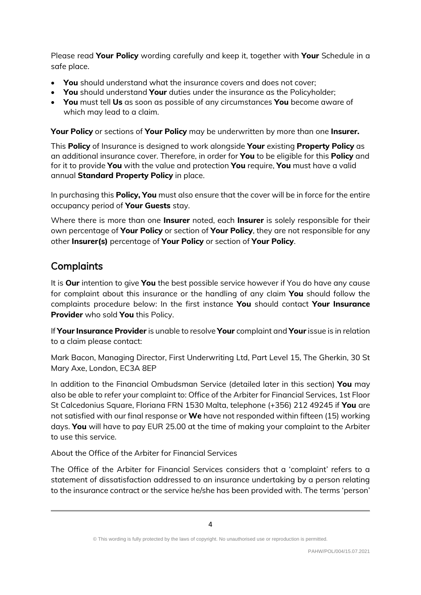Please read **Your Policy** wording carefully and keep it, together with **Your** Schedule in a safe place.

- **You** should understand what the insurance covers and does not cover;
- **You** should understand **Your** duties under the insurance as the Policyholder;
- **You** must tell **Us** as soon as possible of any circumstances **You** become aware of which may lead to a claim.

**Your Policy** or sections of **Your Policy** may be underwritten by more than one **Insurer.**

This **Policy** of Insurance is designed to work alongside **Your** existing **Property Policy** as an additional insurance cover. Therefore, in order for **You** to be eligible for this **Policy** and for it to provide **You** with the value and protection **You** require, **You** must have a valid annual **Standard Property Policy** in place.

In purchasing this **Policy, You** must also ensure that the cover will be in force for the entire occupancy period of **Your Guests** stay.

Where there is more than one **Insurer** noted, each **Insurer** is solely responsible for their own percentage of **Your Policy** or section of **Your Policy**, they are not responsible for any other **Insurer(s)** percentage of **Your Policy** or section of **Your Policy**.

#### **Complaints**

It is **Our** intention to give **You** the best possible service however if You do have any cause for complaint about this insurance or the handling of any claim **You** should follow the complaints procedure below: In the first instance **You** should contact **Your Insurance Provider** who sold **You** this Policy.

If **Your Insurance Provider** is unable to resolve **Your** complaint and **Your** issue is in relation to a claim please contact:

Mark Bacon, Managing Director, First Underwriting Ltd, Part Level 15, The Gherkin, 30 St Mary Axe, London, EC3A 8EP

In addition to the Financial Ombudsman Service (detailed later in this section) **You** may also be able to refer your complaint to: Office of the Arbiter for Financial Services, 1st Floor St Calcedonius Square, Floriana FRN 1530 Malta, telephone (+356) 212 49245 if **You** are not satisfied with our final response or **We** have not responded within fifteen (15) working days. **You** will have to pay EUR 25.00 at the time of making your complaint to the Arbiter to use this service.

About the Office of the Arbiter for Financial Services

The Office of the Arbiter for Financial Services considers that a 'complaint' refers to a statement of dissatisfaction addressed to an insurance undertaking by a person relating to the insurance contract or the service he/she has been provided with. The terms 'person'

<sup>©</sup> This wording is fully protected by the laws of copyright. No unauthorised use or reproduction is permitted.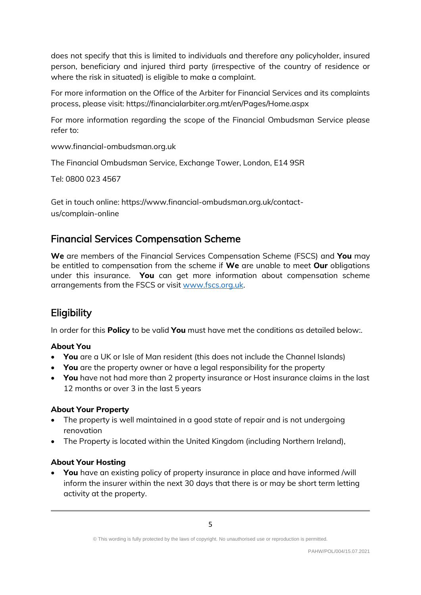does not specify that this is limited to individuals and therefore any policyholder, insured person, beneficiary and injured third party (irrespective of the country of residence or where the risk in situated) is eligible to make a complaint.

For more information on the Office of the Arbiter for Financial Services and its complaints process, please visit: https://financialarbiter.org.mt/en/Pages/Home.aspx

For more information regarding the scope of the Financial Ombudsman Service please refer to:

www.financial-ombudsman.org.uk

The Financial Ombudsman Service, Exchange Tower, London, E14 9SR

Tel: 0800 023 4567

Get in touch online: https://www.financial-ombudsman.org.uk/contactus/complain-online

#### Financial Services Compensation Scheme

**We** are members of the Financial Services Compensation Scheme (FSCS) and **You** may be entitled to compensation from the scheme if **We** are unable to meet **Our** obligations under this insurance. **You** can get more information about compensation scheme arrangements from the FSCS or visit [www.fscs.org.uk.](http://www.fscs.org.uk/)

### **Eligibility**

In order for this **Policy** to be valid **You** must have met the conditions as detailed below:.

#### **About You**

- **You** are a UK or Isle of Man resident (this does not include the Channel Islands)
- **You** are the property owner or have a legal responsibility for the property
- **You** have not had more than 2 property insurance or Host insurance claims in the last 12 months or over 3 in the last 5 years

#### **About Your Property**

- The property is well maintained in a good state of repair and is not undergoing renovation
- The Property is located within the United Kingdom (including Northern Ireland),

#### **About Your Hosting**

• **You** have an existing policy of property insurance in place and have informed /will inform the insurer within the next 30 days that there is or may be short term letting activity at the property.

<sup>©</sup> This wording is fully protected by the laws of copyright. No unauthorised use or reproduction is permitted.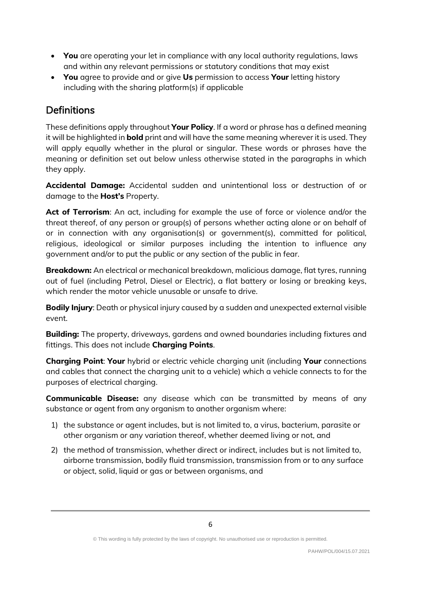- **You** are operating your let in compliance with any local authority regulations, laws and within any relevant permissions or statutory conditions that may exist
- **You** agree to provide and or give **Us** permission to access **Your** letting history including with the sharing platform(s) if applicable

## **Definitions**

These definitions apply throughout **Your Policy**. If a word or phrase has a defined meaning it will be highlighted in **bold** print and will have the same meaning wherever it is used. They will apply equally whether in the plural or singular. These words or phrases have the meaning or definition set out below unless otherwise stated in the paragraphs in which they apply.

**Accidental Damage:** Accidental sudden and unintentional loss or destruction of or damage to the **Host's** Property.

Act of Terrorism: An act, including for example the use of force or violence and/or the threat thereof, of any person or group(s) of persons whether acting alone or on behalf of or in connection with any organisation(s) or government(s), committed for political, religious, ideological or similar purposes including the intention to influence any government and/or to put the public or any section of the public in fear.

**Breakdown:** An electrical or mechanical breakdown, malicious damage, flat tyres, running out of fuel (including Petrol, Diesel or Electric), a flat battery or losing or breaking keys, which render the motor vehicle unusable or unsafe to drive.

**Bodily Injury**: Death or physical injury caused by a sudden and unexpected external visible event.

**Building:** The property, driveways, gardens and owned boundaries including fixtures and fittings. This does not include **Charging Points**.

**Charging Point**: **Your** hybrid or electric vehicle charging unit (including **Your** connections and cables that connect the charging unit to a vehicle) which a vehicle connects to for the purposes of electrical charging.

**Communicable Disease:** any disease which can be transmitted by means of any substance or agent from any organism to another organism where:

- 1) the substance or agent includes, but is not limited to, a virus, bacterium, parasite or other organism or any variation thereof, whether deemed living or not, and
- 2) the method of transmission, whether direct or indirect, includes but is not limited to, airborne transmission, bodily fluid transmission, transmission from or to any surface or object, solid, liquid or gas or between organisms, and

<sup>©</sup> This wording is fully protected by the laws of copyright. No unauthorised use or reproduction is permitted.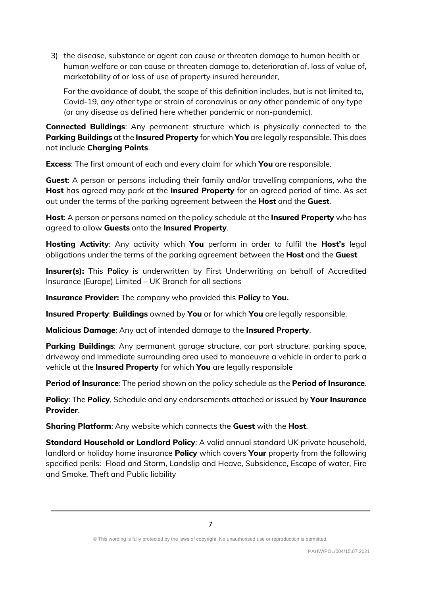3) the disease, substance or agent can cause or threaten damage to human health or human welfare or can cause or threaten damage to, deterioration of, loss of value of, marketability of or loss of use of property insured hereunder,

For the avoidance of doubt, the scope of this definition includes, but is not limited to, Covid-19, any other type or strain of coronavirus or any other pandemic of any type (or any disease as defined here whether pandemic or non-pandemic).

**Connected Buildings**: Any permanent structure which is physically connected to the **Parking Buildings** at the **Insured Property** for which **You** are legally responsible. This does not include **Charging Points**.

**Excess**: The first amount of each and every claim for which **You** are responsible.

**Guest**: A person or persons including their family and/or travelling companions, who the **Host** has agreed may park at the **Insured Property** for an agreed period of time. As set out under the terms of the parking agreement between the **Host** and the **Guest**.

**Host**: A person or persons named on the policy schedule at the **Insured Property** who has agreed to allow **Guests** onto the **Insured Property**.

**Hosting Activity**: Any activity which **You** perform in order to fulfil the **Host's** legal obligations under the terms of the parking agreement between the **Host** and the **Guest**

**Insurer(s):** This Policy is underwritten by First Underwriting on behalf of Accredited Insurance (Europe) Limited – UK Branch for all sections

**Insurance Provider:** The company who provided this **Policy** to **You.** 

**Insured Property**: **Buildings** owned by **You** or for which **You** are legally responsible.

**Malicious Damage**: Any act of intended damage to the **Insured Property**.

**Parking Buildings**: Any permanent garage structure, car port structure, parking space, driveway and immediate surrounding area used to manoeuvre a vehicle in order to park a vehicle at the **Insured Property** for which **You** are legally responsible

**Period of Insurance**: The period shown on the policy schedule as the **Period of Insurance**.

**Policy**: The **Policy**, Schedule and any endorsements attached or issued by **Your Insurance Provider**.

**Sharing Platform**: Any website which connects the **Guest** with the **Host**.

**Standard Household or Landlord Policy**: A valid annual standard UK private household, landlord or holiday home insurance **Policy** which covers **Your** property from the following specified perils: Flood and Storm, Landslip and Heave, Subsidence, Escape of water, Fire and Smoke, Theft and Public liability

<sup>©</sup> This wording is fully protected by the laws of copyright. No unauthorised use or reproduction is permitted.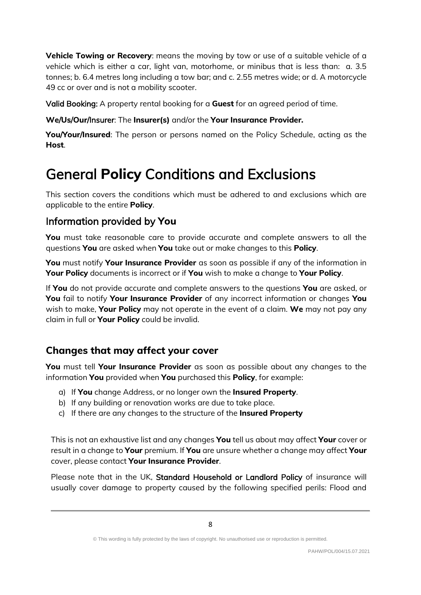**Vehicle Towing or Recovery**: means the moving by tow or use of a suitable vehicle of a vehicle which is either a car, light van, motorhome, or minibus that is less than: a. 3.5 tonnes; b. 6.4 metres long including a tow bar; and c. 2.55 metres wide; or d. A motorcycle 49 cc or over and is not a mobility scooter.

Valid Booking: A property rental booking for a **Guest** for an agreed period of time.

#### **We**/**Us**/**Our**/Insurer: The **Insurer(s)** and/or the **Your Insurance Provider.**

**You**/**Your**/**Insured**: The person or persons named on the Policy Schedule, acting as the **Host**.

# General **Policy** Conditions and Exclusions

This section covers the conditions which must be adhered to and exclusions which are applicable to the entire **Policy**.

#### Information provided by **You**

**You** must take reasonable care to provide accurate and complete answers to all the questions **You** are asked when **You** take out or make changes to this **Policy**.

**You** must notify **Your Insurance Provider** as soon as possible if any of the information in **Your Policy** documents is incorrect or if **You** wish to make a change to **Your Policy**.

If **You** do not provide accurate and complete answers to the questions **You** are asked, or **You** fail to notify **Your Insurance Provider** of any incorrect information or changes **You** wish to make, **Your Policy** may not operate in the event of a claim. **We** may not pay any claim in full or **Your Policy** could be invalid.

#### **Changes that may affect your cover**

**You** must tell **Your Insurance Provider** as soon as possible about any changes to the information **You** provided when **You** purchased this **Policy**, for example:

- a) If **You** change Address, or no longer own the **Insured Property**.
- b) If any building or renovation works are due to take place.
- c) If there are any changes to the structure of the **Insured Property**

This is not an exhaustive list and any changes **You** tell us about may affect **Your** cover or result in a change to **Your** premium. If **You** are unsure whether a change may affect **Your** cover, please contact **Your Insurance Provider**.

Please note that in the UK, Standard Household or Landlord Policy of insurance will usually cover damage to property caused by the following specified perils: Flood and

<sup>©</sup> This wording is fully protected by the laws of copyright. No unauthorised use or reproduction is permitted.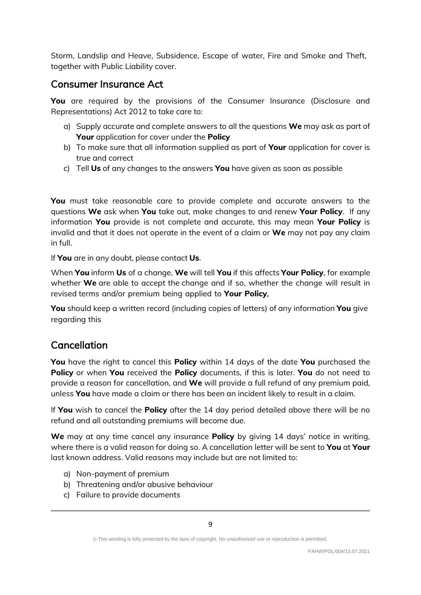Storm, Landslip and Heave, Subsidence, Escape of water, Fire and Smoke and Theft, together with Public Liability cover.

#### Consumer Insurance Act

**You** are required by the provisions of the Consumer Insurance (Disclosure and Representations) Act 2012 to take care to:

- a) Supply accurate and complete answers to all the questions **We** may ask as part of **Your** application for cover under the **Policy**
- b) To make sure that all information supplied as part of **Your** application for cover is true and correct
- c) Tell **Us** of any changes to the answers **You** have given as soon as possible

**You** must take reasonable care to provide complete and accurate answers to the questions **We** ask when **You** take out, make changes to and renew **Your Policy**. If any information **You** provide is not complete and accurate, this may mean **Your Policy** is invalid and that it does not operate in the event of a claim or **We** may not pay any claim in full.

If **You** are in any doubt, please contact **Us**.

When **You** inform **Us** of a change, **We** will tell **You** if this affects **Your Policy**, for example whether **We** are able to accept the change and if so, whether the change will result in revised terms and/or premium being applied to **Your Policy**.

**You** should keep a written record (including copies of letters) of any information **You** give regarding this

### Cancellation

**You** have the right to cancel this **Policy** within 14 days of the date **You** purchased the **Policy** or when **You** received the **Policy** documents, if this is later. **You** do not need to provide a reason for cancellation, and **We** will provide a full refund of any premium paid, unless **You** have made a claim or there has been an incident likely to result in a claim.

If **You** wish to cancel the **Policy** after the 14 day period detailed above there will be no refund and all outstanding premiums will become due.

**We** may at any time cancel any insurance **Policy** by giving 14 days' notice in writing, where there is a valid reason for doing so. A cancellation letter will be sent to **You** at **Your** last known address. Valid reasons may include but are not limited to:

- a) Non-payment of premium
- b) Threatening and/or abusive behaviour
- c) Failure to provide documents

<sup>©</sup> This wording is fully protected by the laws of copyright. No unauthorised use or reproduction is permitted.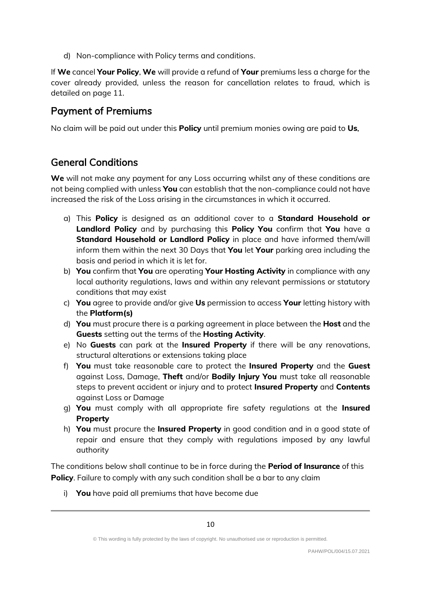d) Non-compliance with Policy terms and conditions.

If **We** cancel **Your Policy**, **We** will provide a refund of **Your** premiums less a charge for the cover already provided, unless the reason for cancellation relates to fraud, which is detailed on page 11.

#### Payment of Premiums

No claim will be paid out under this **Policy** until premium monies owing are paid to **Us**.

#### General Conditions

**We** will not make any payment for any Loss occurring whilst any of these conditions are not being complied with unless **You** can establish that the non-compliance could not have increased the risk of the Loss arising in the circumstances in which it occurred.

- a) This **Policy** is designed as an additional cover to a **Standard Household or Landlord Policy** and by purchasing this **Policy You** confirm that **You** have a **Standard Household or Landlord Policy** in place and have informed them/will inform them within the next 30 Days that **You** let **Your** parking area including the basis and period in which it is let for.
- b) **You** confirm that **You** are operating **Your Hosting Activity** in compliance with any local authority regulations, laws and within any relevant permissions or statutory conditions that may exist
- c) **You** agree to provide and/or give **Us** permission to access **Your** letting history with the **Platform(s)**
- d) **You** must procure there is a parking agreement in place between the **Host** and the **Guests** setting out the terms of the **Hosting Activity**.
- e) No **Guests** can park at the **Insured Property** if there will be any renovations, structural alterations or extensions taking place
- f) **You** must take reasonable care to protect the **Insured Property** and the **Guest** against Loss, Damage, **Theft** and/or **Bodily Injury You** must take all reasonable steps to prevent accident or injury and to protect **Insured Property** and **Contents** against Loss or Damage
- g) **You** must comply with all appropriate fire safety regulations at the **Insured Property**
- h) **You** must procure the **Insured Property** in good condition and in a good state of repair and ensure that they comply with regulations imposed by any lawful authority

The conditions below shall continue to be in force during the **Period of Insurance** of this **Policy**. Failure to comply with any such condition shall be a bar to any claim

i) **You** have paid all premiums that have become due

<sup>©</sup> This wording is fully protected by the laws of copyright. No unauthorised use or reproduction is permitted.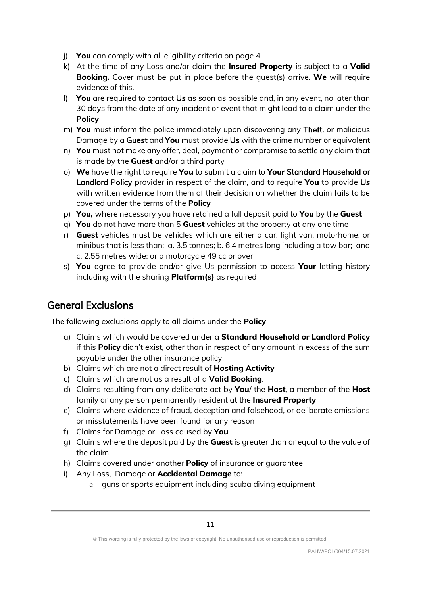- j) **You** can comply with all eligibility criteria on page 4
- k) At the time of any Loss and/or claim the **Insured Property** is subject to a **Valid Booking.** Cover must be put in place before the guest(s) arrive. **We** will require evidence of this.
- l) **You** are required to contact Us as soon as possible and, in any event, no later than 30 days from the date of any incident or event that might lead to a claim under the **Policy**
- m) **You** must inform the police immediately upon discovering any Theft, or malicious Damage by a Guest and **You** must provide Us with the crime number or equivalent
- n) **You** must not make any offer, deal, payment or compromise to settle any claim that is made by the **Guest** and/or a third party
- o) **We** have the right to require **You** to submit a claim to **Your** Standard Household or Landlord Policy provider in respect of the claim, and to require **You** to provide Us with written evidence from them of their decision on whether the claim fails to be covered under the terms of the **Policy**
- p) **You,** where necessary you have retained a full deposit paid to **You** by the **Guest**
- q) **You** do not have more than 5 **Guest** vehicles at the property at any one time
- r) **Guest** vehicles must be vehicles which are either a car, light van, motorhome, or minibus that is less than: a. 3.5 tonnes; b. 6.4 metres long including a tow bar; and c. 2.55 metres wide; or a motorcycle 49 cc or over
- s) **You** agree to provide and/or give Us permission to access **Your** letting history including with the sharing **Platform(s)** as required

#### General Exclusions

The following exclusions apply to all claims under the **Policy**

- a) Claims which would be covered under a **Standard Household or Landlord Policy** if this **Policy** didn't exist, other than in respect of any amount in excess of the sum payable under the other insurance policy.
- b) Claims which are not a direct result of **Hosting Activity**
- c) Claims which are not as a result of a **Valid Booking**.
- d) Claims resulting from any deliberate act by **You**/ the **Host**, a member of the **Host** family or any person permanently resident at the **Insured Property**
- e) Claims where evidence of fraud, deception and falsehood, or deliberate omissions or misstatements have been found for any reason
- f) Claims for Damage or Loss caused by **You**
- g) Claims where the deposit paid by the **Guest** is greater than or equal to the value of the claim
- h) Claims covered under another **Policy** of insurance or guarantee
- i) Any Loss, Damage or **Accidental Damage** to:
	- o guns or sports equipment including scuba diving equipment

<sup>©</sup> This wording is fully protected by the laws of copyright. No unauthorised use or reproduction is permitted.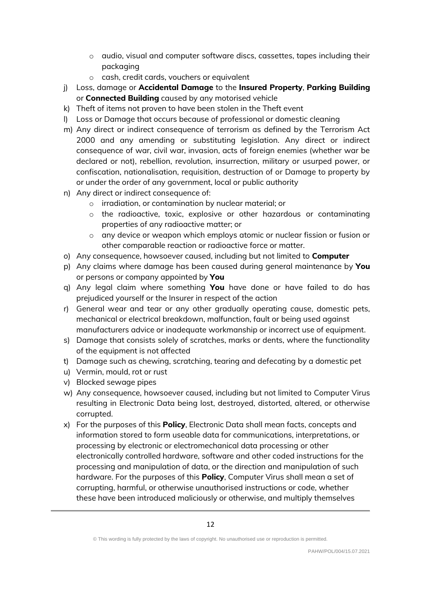- o audio, visual and computer software discs, cassettes, tapes including their packaging
- o cash, credit cards, vouchers or equivalent
- j) Loss, damage or **Accidental Damage** to the **Insured Property**, **Parking Building** or **Connected Building** caused by any motorised vehicle
- k) Theft of items not proven to have been stolen in the Theft event
- l) Loss or Damage that occurs because of professional or domestic cleaning
- m) Any direct or indirect consequence of terrorism as defined by the Terrorism Act 2000 and any amending or substituting legislation. Any direct or indirect consequence of war, civil war, invasion, acts of foreign enemies (whether war be declared or not), rebellion, revolution, insurrection, military or usurped power, or confiscation, nationalisation, requisition, destruction of or Damage to property by or under the order of any government, local or public authority
- n) Any direct or indirect consequence of:
	- o irradiation, or contamination by nuclear material; or
	- $\circ$  the radioactive, toxic, explosive or other hazardous or contaminating properties of any radioactive matter; or
	- o any device or weapon which employs atomic or nuclear fission or fusion or other comparable reaction or radioactive force or matter.
- o) Any consequence, howsoever caused, including but not limited to **Computer**
- p) Any claims where damage has been caused during general maintenance by **You** or persons or company appointed by **You**
- q) Any legal claim where something **You** have done or have failed to do has prejudiced yourself or the Insurer in respect of the action
- r) General wear and tear or any other gradually operating cause, domestic pets, mechanical or electrical breakdown, malfunction, fault or being used against manufacturers advice or inadequate workmanship or incorrect use of equipment.
- s) Damage that consists solely of scratches, marks or dents, where the functionality of the equipment is not affected
- t) Damage such as chewing, scratching, tearing and defecating by a domestic pet
- u) Vermin, mould, rot or rust
- v) Blocked sewage pipes
- w) Any consequence, howsoever caused, including but not limited to Computer Virus resulting in Electronic Data being lost, destroyed, distorted, altered, or otherwise corrupted.
- x) For the purposes of this **Policy**, Electronic Data shall mean facts, concepts and information stored to form useable data for communications, interpretations, or processing by electronic or electromechanical data processing or other electronically controlled hardware, software and other coded instructions for the processing and manipulation of data, or the direction and manipulation of such hardware. For the purposes of this **Policy**, Computer Virus shall mean a set of corrupting, harmful, or otherwise unauthorised instructions or code, whether these have been introduced maliciously or otherwise, and multiply themselves

<sup>©</sup> This wording is fully protected by the laws of copyright. No unauthorised use or reproduction is permitted.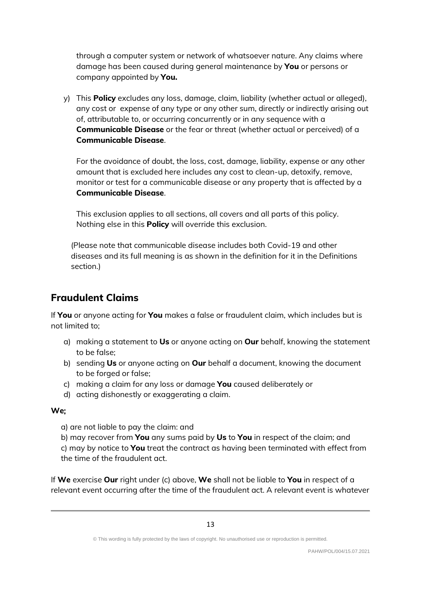through a computer system or network of whatsoever nature. Any claims where damage has been caused during general maintenance by **You** or persons or company appointed by **You.**

y) This **Policy** excludes any loss, damage, claim, liability (whether actual or alleged), any cost or expense of any type or any other sum, directly or indirectly arising out of, attributable to, or occurring concurrently or in any sequence with a **Communicable Disease** or the fear or threat (whether actual or perceived) of a **Communicable Disease**.

For the avoidance of doubt, the loss, cost, damage, liability, expense or any other amount that is excluded here includes any cost to clean-up, detoxify, remove, monitor or test for a communicable disease or any property that is affected by a **Communicable Disease**.

This exclusion applies to all sections, all covers and all parts of this policy. Nothing else in this **Policy** will override this exclusion.

(Please note that communicable disease includes both Covid-19 and other diseases and its full meaning is as shown in the definition for it in the Definitions section.)

#### **Fraudulent Claims**

If **You** or anyone acting for **You** makes a false or fraudulent claim, which includes but is not limited to;

- a) making a statement to **Us** or anyone acting on **Our** behalf, knowing the statement to be false;
- b) sending **Us** or anyone acting on **Our** behalf a document, knowing the document to be forged or false;
- c) making a claim for any loss or damage **You** caused deliberately or
- d) acting dishonestly or exaggerating a claim.

#### **We**;

a) are not liable to pay the claim: and

b) may recover from **You** any sums paid by **Us** to **You** in respect of the claim; and c) may by notice to **You** treat the contract as having been terminated with effect from the time of the fraudulent act.

If **We** exercise **Our** right under (c) above, **We** shall not be liable to **You** in respect of a relevant event occurring after the time of the fraudulent act. A relevant event is whatever

<sup>©</sup> This wording is fully protected by the laws of copyright. No unauthorised use or reproduction is permitted.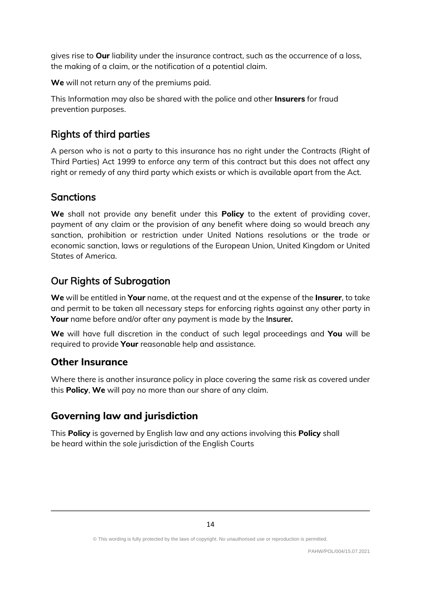gives rise to **Our** liability under the insurance contract, such as the occurrence of a loss, the making of a claim, or the notification of a potential claim.

**We** will not return any of the premiums paid.

This Information may also be shared with the police and other **Insurers** for fraud prevention purposes.

## Rights of third parties

A person who is not a party to this insurance has no right under the Contracts (Right of Third Parties) Act 1999 to enforce any term of this contract but this does not affect any right or remedy of any third party which exists or which is available apart from the Act.

#### **Sanctions**

**We** shall not provide any benefit under this **Policy** to the extent of providing cover, payment of any claim or the provision of any benefit where doing so would breach any sanction, prohibition or restriction under United Nations resolutions or the trade or economic sanction, laws or regulations of the European Union, United Kingdom or United States of America.

#### Our Rights of Subrogation

**We** will be entitled in **Your** name, at the request and at the expense of the **Insurer**, to take and permit to be taken all necessary steps for enforcing rights against any other party in **Your** name before and/or after any payment is made by the **Insurer.** 

**We** will have full discretion in the conduct of such legal proceedings and **You** will be required to provide **Your** reasonable help and assistance.

#### **Other Insurance**

Where there is another insurance policy in place covering the same risk as covered under this **Policy**, **We** will pay no more than our share of any claim.

### **Governing law and jurisdiction**

This **Policy** is governed by English law and any actions involving this **Policy** shall be heard within the sole jurisdiction of the English Courts

<sup>©</sup> This wording is fully protected by the laws of copyright. No unauthorised use or reproduction is permitted.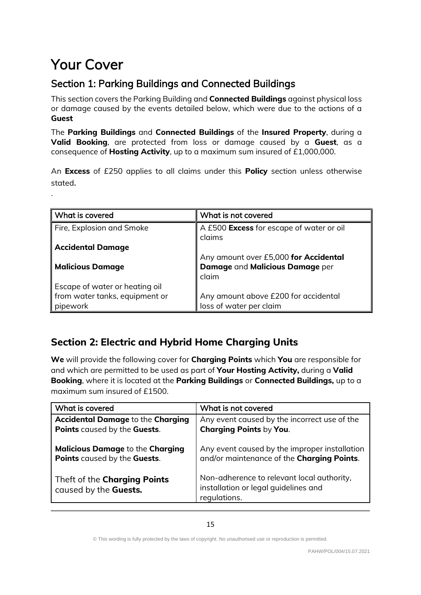# Your Cover

.  $\ddot{\phantom{0}}$ 

# Section 1: Parking Buildings and Connected Buildings

This section covers the Parking Building and **Connected Buildings** against physical loss or damage caused by the events detailed below, which were due to the actions of a **Guest**

The **Parking Buildings** and **Connected Buildings** of the **Insured Property**, during a **Valid Booking**, are protected from loss or damage caused by a **Guest**, as a consequence of **Hosting Activity**, up to a maximum sum insured of £1,000,000.

An **Excess** of £250 applies to all claims under this **Policy** section unless otherwise stated.

| What is covered                | What is not covered                                |
|--------------------------------|----------------------------------------------------|
| Fire, Explosion and Smoke      | A £500 Excess for escape of water or oil<br>claims |
| <b>Accidental Damage</b>       |                                                    |
|                                | Any amount over £5,000 for Accidental              |
| <b>Malicious Damage</b>        | Damage and Malicious Damage per                    |
|                                | claim                                              |
| Escape of water or heating oil |                                                    |
| from water tanks, equipment or | Any amount above £200 for accidental               |
| pipework                       | loss of water per claim                            |

## **Section 2: Electric and Hybrid Home Charging Units**

**We** will provide the following cover for **Charging Points** which **You** are responsible for and which are permitted to be used as part of **Your Hosting Activity,** during a **Valid Booking**, where it is located at the **Parking Buildings** or **Connected Buildings,** up to a maximum sum insured of £1500.

| What is covered                                       | What is not covered                                                                                |
|-------------------------------------------------------|----------------------------------------------------------------------------------------------------|
| <b>Accidental Damage to the Charging</b>              | Any event caused by the incorrect use of the                                                       |
| Points caused by the Guests.                          | <b>Charging Points by You.</b>                                                                     |
| <b>Malicious Damage to the Charging</b>               | Any event caused by the improper installation                                                      |
| Points caused by the Guests.                          | and/or maintenance of the Charging Points.                                                         |
| Theft of the Charging Points<br>caused by the Guests. | Non-adherence to relevant local authority,<br>installation or legal guidelines and<br>requlations. |

<sup>©</sup> This wording is fully protected by the laws of copyright. No unauthorised use or reproduction is permitted.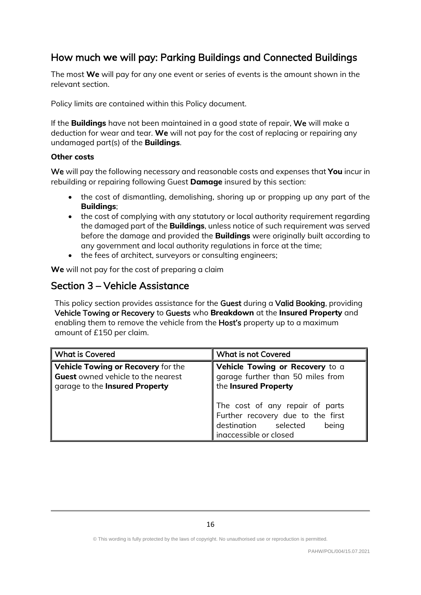# How much **we** will pay: Parking Buildings and Connected Buildings

The most **We** will pay for any one event or series of events is the amount shown in the relevant section.

Policy limits are contained within this Policy document.

If the **Buildings** have not been maintained in a good state of repair, We will make a deduction for wear and tear. **We** will not pay for the cost of replacing or repairing any undamaged part(s) of the **Buildings**.

#### **Other costs**

We will pay the following necessary and reasonable costs and expenses that **You** incur in rebuilding or repairing following Guest **Damage** insured by this section:

- the cost of dismantling, demolishing, shoring up or propping up any part of the **Buildings**;
- the cost of complying with any statutory or local authority requirement regarding the damaged part of the **Buildings**, unless notice of such requirement was served before the damage and provided the **Buildings** were originally built according to any government and local authority regulations in force at the time;
- the fees of architect, surveyors or consulting engineers;

**We** will not pay for the cost of preparing a claim

#### Section 3 – Vehicle Assistance

This policy section provides assistance for the Guest during a Valid Booking, providing Vehicle Towing or Recovery to Guests who **Breakdown** at the **Insured Property** and enabling them to remove the vehicle from the **Host's** property up to a maximum amount of £150 per claim.

| <b>What is Covered</b>                                                                                            | <b>What is not Covered</b>                                                                                                      |
|-------------------------------------------------------------------------------------------------------------------|---------------------------------------------------------------------------------------------------------------------------------|
| Vehicle Towing or Recovery for the<br><b>Guest</b> owned vehicle to the nearest<br>garage to the Insured Property | Vehicle Towing or Recovery to a<br>garage further than 50 miles from<br>the Insured Property                                    |
|                                                                                                                   | The cost of any repair of parts<br>Further recovery due to the first<br>destination selected<br>being<br>inaccessible or closed |

© This wording is fully protected by the laws of copyright. No unauthorised use or reproduction is permitted.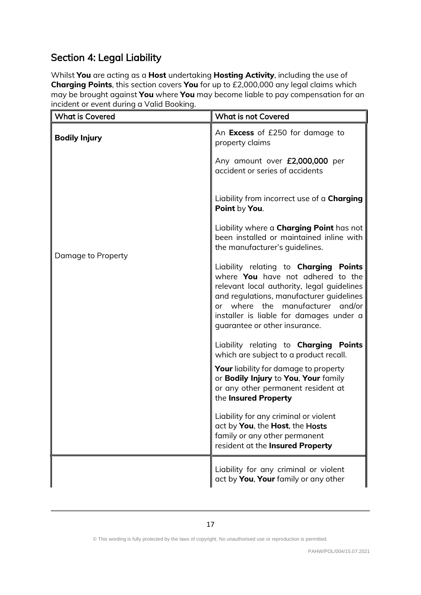# Section 4: Legal Liability

Whilst **You** are acting as a **Host** undertaking **Hosting Activity**, including the use of **Charging Points**, this section covers **You** for up to £2,000,000 any legal claims which may be brought against **You** where **You** may become liable to pay compensation for an incident or event during a Valid Booking.

| <b>What is Covered</b> | <b>What is not Covered</b>                                                                                                                                                                                                                                                                  |
|------------------------|---------------------------------------------------------------------------------------------------------------------------------------------------------------------------------------------------------------------------------------------------------------------------------------------|
| <b>Bodily Injury</b>   | An Excess of £250 for damage to<br>property claims                                                                                                                                                                                                                                          |
| Damage to Property     | Any amount over £2,000,000 per<br>accident or series of accidents                                                                                                                                                                                                                           |
|                        | Liability from incorrect use of a <b>Charging</b><br>Point by You.                                                                                                                                                                                                                          |
|                        | Liability where a <b>Charging Point</b> has not<br>been installed or maintained inline with<br>the manufacturer's quidelines.                                                                                                                                                               |
|                        | Liability relating to <b>Charging Points</b><br>where You have not adhered to the<br>relevant local authority, legal guidelines<br>and regulations, manufacturer guidelines<br>or where the manufacturer and/or<br>installer is liable for damages under a<br>guarantee or other insurance. |
|                        | Liability relating to <b>Charging Points</b><br>which are subject to a product recall.                                                                                                                                                                                                      |
|                        | Your liability for damage to property<br>or Bodily Injury to You, Your family<br>or any other permanent resident at<br>the Insured Property                                                                                                                                                 |
|                        | Liability for any criminal or violent<br>act by You, the Host, the Hosts<br>family or any other permanent<br>resident at the Insured Property                                                                                                                                               |
|                        | Liability for any criminal or violent<br>act by You, Your family or any other                                                                                                                                                                                                               |

<sup>©</sup> This wording is fully protected by the laws of copyright. No unauthorised use or reproduction is permitted.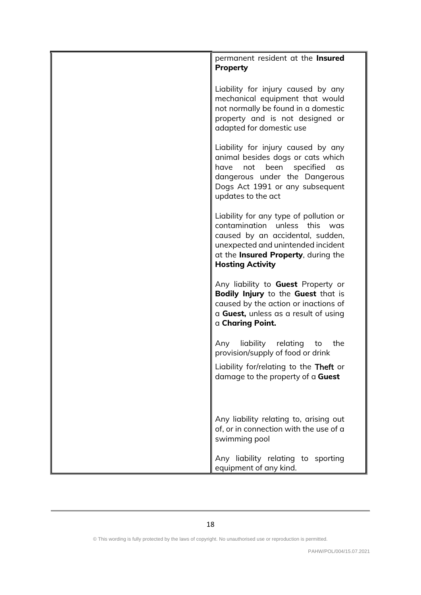| permanent resident at the <b>Insured</b>                                                                                                                                                                                    |
|-----------------------------------------------------------------------------------------------------------------------------------------------------------------------------------------------------------------------------|
| <b>Property</b>                                                                                                                                                                                                             |
|                                                                                                                                                                                                                             |
| Liability for injury caused by any<br>mechanical equipment that would<br>not normally be found in a domestic<br>property and is not designed or<br>adapted for domestic use                                                 |
| Liability for injury caused by any<br>animal besides dogs or cats which<br>not<br>been<br>specified<br>have<br><b>as</b><br>dangerous under the Dangerous<br>Dogs Act 1991 or any subsequent<br>updates to the act          |
| Liability for any type of pollution or<br>contamination unless this was<br>caused by an accidental, sudden,<br>unexpected and unintended incident<br>at the <b>Insured Property</b> , during the<br><b>Hosting Activity</b> |
| Any liability to <b>Guest</b> Property or<br>Bodily Injury to the Guest that is<br>caused by the action or inactions of<br>a Guest, unless as a result of using<br>a Charing Point.                                         |
| liability relating<br>Any<br>to<br>the<br>provision/supply of food or drink<br>Liability for/relating to the Theft or<br>damage to the property of a Guest                                                                  |
| Any liability relating to, arising out<br>of, or in connection with the use of a<br>swimming pool                                                                                                                           |
| Any liability relating to sporting<br>equipment of any kind.                                                                                                                                                                |

<sup>©</sup> This wording is fully protected by the laws of copyright. No unauthorised use or reproduction is permitted.